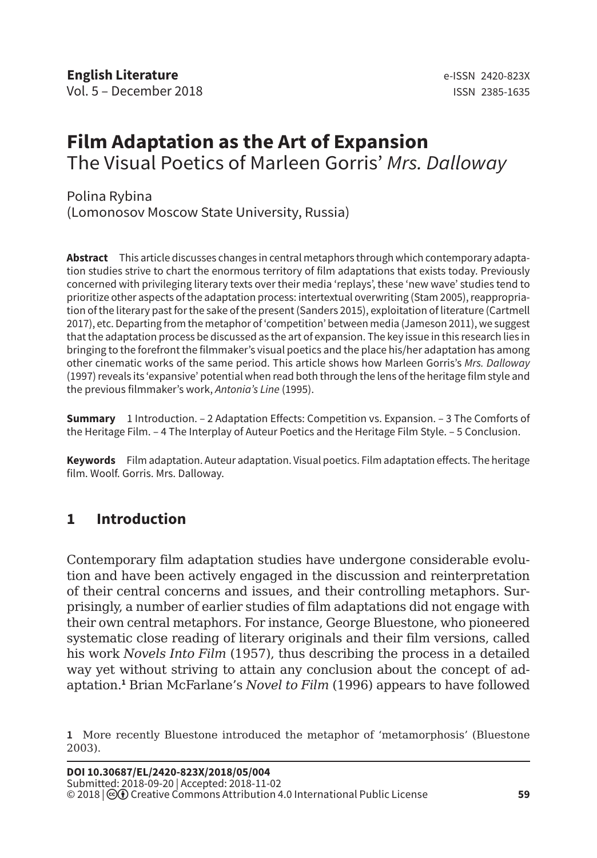# **Film Adaptation as the Art of Expansion** The Visual Poetics of Marleen Gorris' *Mrs. Dalloway*

Polina Rybina (Lomonosov Moscow State University, Russia)

**Abstract** This article discusses changes in central metaphors through which contemporary adaptation studies strive to chart the enormous territory of film adaptations that exists today. Previously concerned with privileging literary texts over their media 'replays', these 'new wave' studies tend to prioritize other aspects of the adaptation process: intertextual overwriting (Stam 2005), reappropriation of the literary past for the sake of the present (Sanders 2015), exploitation of literature (Cartmell 2017), etc. Departing from the metaphor of 'competition' between media (Jameson 2011), we suggest that the adaptation process be discussed as the art of expansion. The key issue in this research lies in bringing to the forefront the filmmaker's visual poetics and the place his/her adaptation has among other cinematic works of the same period. This article shows how Marleen Gorris's *Mrs. Dalloway*  (1997) reveals its 'expansive' potential when read both through the lens of the heritage film style and the previous filmmaker's work, *Antonia's Line* (1995).

**Summary** 1 Introduction. – 2 Adaptation Effects: Competition vs. Expansion. – 3 The Comforts of the Heritage Film. – 4 The Interplay of Auteur Poetics and the Heritage Film Style. – 5 Conclusion.

**Keywords** Film adaptation. Auteur adaptation. Visual poetics. Film adaptation effects. The heritage film. Woolf. Gorris. Mrs. Dalloway.

# **1 Introduction**

Contemporary film adaptation studies have undergone considerable evolution and have been actively engaged in the discussion and reinterpretation of their central concerns and issues, and their controlling metaphors. Surprisingly, a number of earlier studies of film adaptations did not engage with their own central metaphors. For instance, George Bluestone, who pioneered systematic close reading of literary originals and their film versions, called his work *Novels Into Film* (1957), thus describing the process in a detailed way yet without striving to attain any conclusion about the concept of adaptation.**<sup>1</sup>** Brian McFarlane's *Novel to Film* (1996) appears to have followed

**<sup>1</sup>** More recently Bluestone introduced the metaphor of 'metamorphosis' (Bluestone 2003).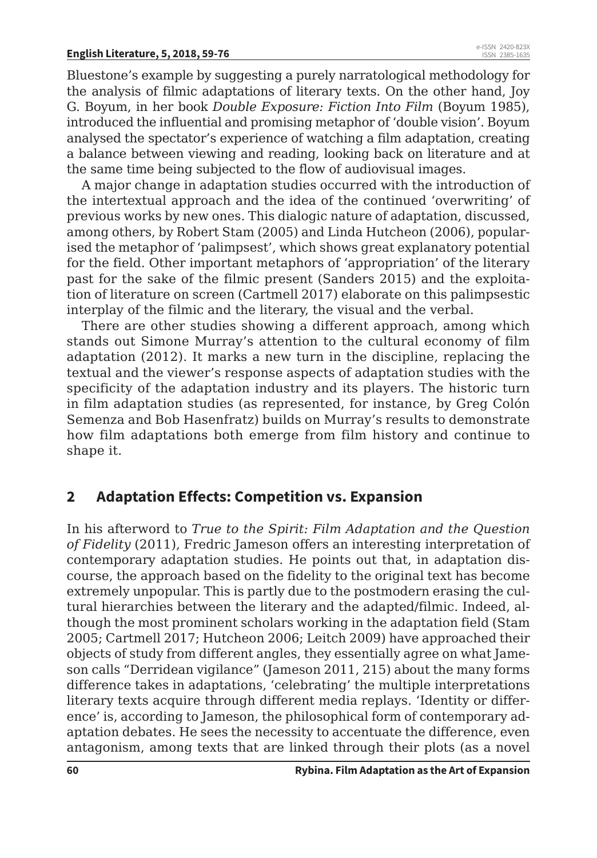#### **English Literature, 5, 2018, 59-76**

Bluestone's example by suggesting a purely narratological methodology for the analysis of filmic adaptations of literary texts. On the other hand, Joy G. Boyum, in her book *Double Exposure: Fiction Into Film* (Boyum 1985), introduced the influential and promising metaphor of 'double vision'. Boyum analysed the spectator's experience of watching a film adaptation, creating a balance between viewing and reading, looking back on literature and at the same time being subjected to the flow of audiovisual images.

A major change in adaptation studies occurred with the introduction of the intertextual approach and the idea of the continued 'overwriting' of previous works by new ones. This dialogic nature of adaptation, discussed, among others, by Robert Stam (2005) and Linda Hutcheon (2006), popularised the metaphor of 'palimpsest', which shows great explanatory potential for the field. Other important metaphors of 'appropriation' of the literary past for the sake of the filmic present (Sanders 2015) and the exploitation of literature on screen (Cartmell 2017) elaborate on this palimpsestic interplay of the filmic and the literary, the visual and the verbal.

There are other studies showing a different approach, among which stands out Simone Murray's attention to the cultural economy of film adaptation (2012). It marks a new turn in the discipline, replacing the textual and the viewer's response aspects of adaptation studies with the specificity of the adaptation industry and its players. The historic turn in film adaptation studies (as represented, for instance, by Greg Colón Semenza and Bob Hasenfratz) builds on Murray's results to demonstrate how film adaptations both emerge from film history and continue to shape it.

#### **2 Adaptation Effects: Competition vs. Expansion**

In his afterword to *True to the Spirit: Film Adaptation and the Question of Fidelity* (2011), Fredric Jameson offers an interesting interpretation of contemporary adaptation studies. He points out that, in adaptation discourse, the approach based on the fidelity to the original text has become extremely unpopular. This is partly due to the postmodern erasing the cultural hierarchies between the literary and the adapted/filmic. Indeed, although the most prominent scholars working in the adaptation field (Stam 2005; Cartmell 2017; Hutcheon 2006; Leitch 2009) have approached their objects of study from different angles, they essentially agree on what Jameson calls "Derridean vigilance" (Jameson 2011, 215) about the many forms difference takes in adaptations, 'celebrating' the multiple interpretations literary texts acquire through different media replays. 'Identity or difference' is, according to Jameson, the philosophical form of contemporary adaptation debates. He sees the necessity to accentuate the difference, even antagonism, among texts that are linked through their plots (as a novel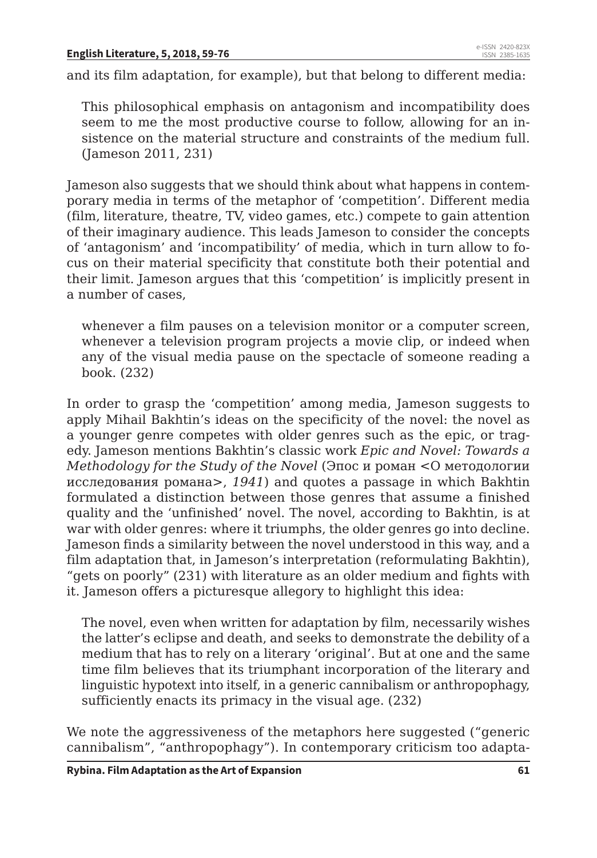and its film adaptation, for example), but that belong to different media:

This philosophical emphasis on antagonism and incompatibility does seem to me the most productive course to follow, allowing for an insistence on the material structure and constraints of the medium full. (Jameson 2011, 231)

Jameson also suggests that we should think about what happens in contemporary media in terms of the metaphor of 'competition'. Different media (film, literature, theatre, TV, video games, etc.) compete to gain attention of their imaginary audience. This leads Jameson to consider the concepts of 'antagonism' and 'incompatibility' of media, which in turn allow to focus on their material specificity that constitute both their potential and their limit. Jameson argues that this 'competition' is implicitly present in a number of cases,

whenever a film pauses on a television monitor or a computer screen, whenever a television program projects a movie clip, or indeed when any of the visual media pause on the spectacle of someone reading a book. (232)

In order to grasp the 'competition' among media, Jameson suggests to apply Mihail Bakhtin's ideas on the specificity of the novel: the novel as a younger genre competes with older genres such as the epic, or tragedy. Jameson mentions Bakhtin's classic work *Epic and Novel: Towards a Methodology for the Study of the Novel* (Эпос и роман *<*О методологии исследования романа*>*, *1941*) and quotes a passage in which Bakhtin formulated a distinction between those genres that assume a finished quality and the 'unfinished' novel. The novel, according to Bakhtin, is at war with older genres: where it triumphs, the older genres go into decline. Jameson finds a similarity between the novel understood in this way, and a film adaptation that, in Jameson's interpretation (reformulating Bakhtin), "gets on poorly" (231) with literature as an older medium and fights with it. Jameson offers a picturesque allegory to highlight this idea:

The novel, even when written for adaptation by film, necessarily wishes the latter's eclipse and death, and seeks to demonstrate the debility of a medium that has to rely on a literary 'original'. But at one and the same time film believes that its triumphant incorporation of the literary and linguistic hypotext into itself, in a generic cannibalism or anthropophagy, sufficiently enacts its primacy in the visual age. (232)

We note the aggressiveness of the metaphors here suggested ("generic cannibalism", "anthropophagy"). In contemporary criticism too adapta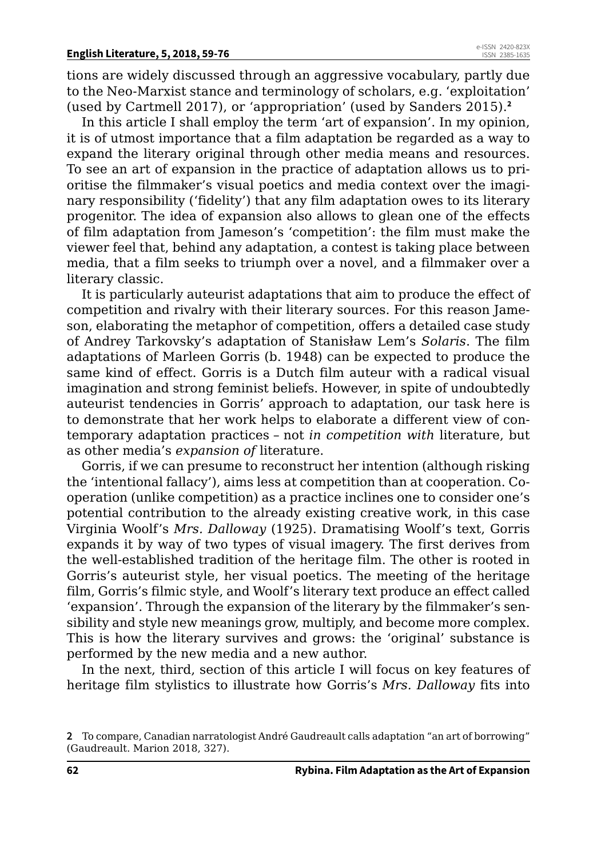tions are widely discussed through an aggressive vocabulary, partly due to the Neo-Marxist stance and terminology of scholars, e.g. 'exploitation' (used by Cartmell 2017), or 'appropriation' (used by Sanders 2015).**<sup>2</sup>**

In this article I shall employ the term 'art of expansion'. In my opinion, it is of utmost importance that a film adaptation be regarded as a way to expand the literary original through other media means and resources. To see an art of expansion in the practice of adaptation allows us to prioritise the filmmaker's visual poetics and media context over the imaginary responsibility ('fidelity') that any film adaptation owes to its literary progenitor. The idea of expansion also allows to glean one of the effects of film adaptation from Jameson's 'competition': the film must make the viewer feel that, behind any adaptation, a contest is taking place between media, that a film seeks to triumph over a novel, and a filmmaker over a literary classic.

It is particularly auteurist adaptations that aim to produce the effect of competition and rivalry with their literary sources. For this reason Jameson, elaborating the metaphor of competition, offers a detailed case study of Andrey Tarkovsky's adaptation of Stanisław Lem's *Solaris*. The film adaptations of Marleen Gorris (b. 1948) can be expected to produce the same kind of effect. Gorris is a Dutch film auteur with a radical visual imagination and strong feminist beliefs. However, in spite of undoubtedly auteurist tendencies in Gorris' approach to adaptation, our task here is to demonstrate that her work helps to elaborate a different view of contemporary adaptation practices – not *in competition with* literature, but as other media's *expansion of* literature.

Gorris, if we can presume to reconstruct her intention (although risking the 'intentional fallacy'), aims less at competition than at cooperation. Cooperation (unlike competition) as a practice inclines one to consider one's potential contribution to the already existing creative work, in this case Virginia Woolf's *Mrs. Dalloway* (1925). Dramatising Woolf's text, Gorris expands it by way of two types of visual imagery. The first derives from the well-established tradition of the heritage film. The other is rooted in Gorris's auteurist style, her visual poetics. The meeting of the heritage film, Gorris's filmic style, and Woolf's literary text produce an effect called 'expansion'. Through the expansion of the literary by the filmmaker's sensibility and style new meanings grow, multiply, and become more complex. This is how the literary survives and grows: the 'original' substance is performed by the new media and a new author.

In the next, third, section of this article I will focus on key features of heritage film stylistics to illustrate how Gorris's *Mrs. Dalloway* fits into

**<sup>2</sup>** To compare, Canadian narratologist André Gaudreault calls adaptation "an art of borrowing" (Gaudreault. Marion 2018, 327).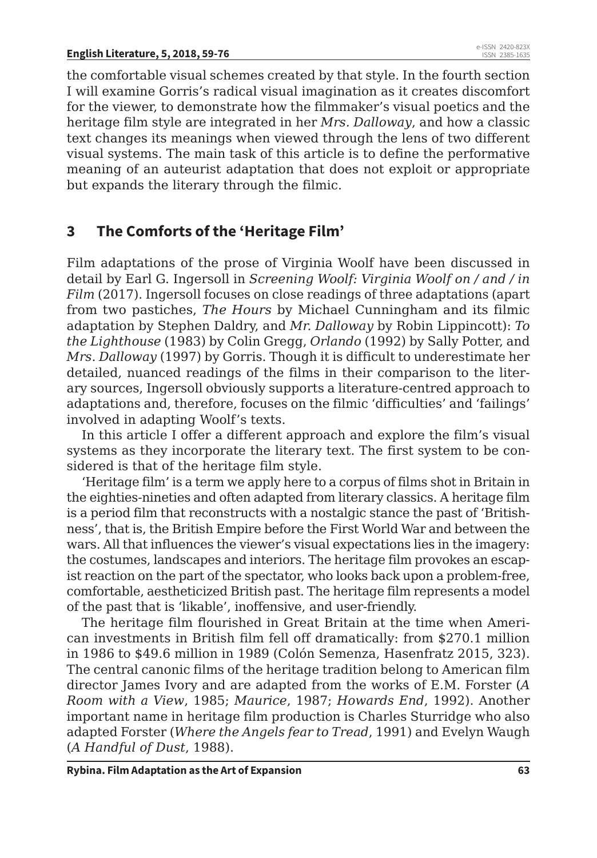the comfortable visual schemes created by that style. In the fourth section I will examine Gorris's radical visual imagination as it creates discomfort for the viewer, to demonstrate how the filmmaker's visual poetics and the heritage film style are integrated in her *Mrs. Dalloway*, and how a classic text changes its meanings when viewed through the lens of two different visual systems. The main task of this article is to define the performative meaning of an auteurist adaptation that does not exploit or appropriate but expands the literary through the filmic.

# **3 The Comforts of the 'Heritage Film'**

Film adaptations of the prose of Virginia Woolf have been discussed in detail by Earl G. Ingersoll in *Screening Woolf: Virginia Woolf on / and / in Film* (2017). Ingersoll focuses on close readings of three adaptations (apart from two pastiches, *The Hours* by Michael Cunningham and its filmic adaptation by Stephen Daldry, and *Mr. Dalloway* by Robin Lippincott): *To the Lighthouse* (1983) by Colin Gregg, *Orlando* (1992) by Sally Potter, and *Mrs. Dalloway* (1997) by Gorris. Though it is difficult to underestimate her detailed, nuanced readings of the films in their comparison to the literary sources, Ingersoll obviously supports a literature-centred approach to adaptations and, therefore, focuses on the filmic 'difficulties' and 'failings' involved in adapting Woolf's texts.

In this article I offer a different approach and explore the film's visual systems as they incorporate the literary text. The first system to be considered is that of the heritage film style.

'Heritage film' is a term we apply here to a corpus of films shot in Britain in the eighties-nineties and often adapted from literary classics. A heritage film is a period film that reconstructs with a nostalgic stance the past of 'Britishness', that is, the British Empire before the First World War and between the wars. All that influences the viewer's visual expectations lies in the imagery: the costumes, landscapes and interiors. The heritage film provokes an escapist reaction on the part of the spectator, who looks back upon a problem-free, comfortable, aestheticized British past. The heritage film represents a model of the past that is 'likable', inoffensive, and user-friendly.

The heritage film flourished in Great Britain at the time when American investments in British film fell off dramatically: from \$270.1 million in 1986 to \$49.6 million in 1989 (Colón Semenza, Hasenfratz 2015, 323). The central canonic films of the heritage tradition belong to American film director James Ivory and are adapted from the works of E.M. Forster (*A Room with a View*, 1985; *Maurice*, 1987; *Howards End*, 1992). Another important name in heritage film production is Charles Sturridge who also adapted Forster (*Where the Angels fear to Tread*, 1991) and Evelyn Waugh (*A Handful of Dust*, 1988).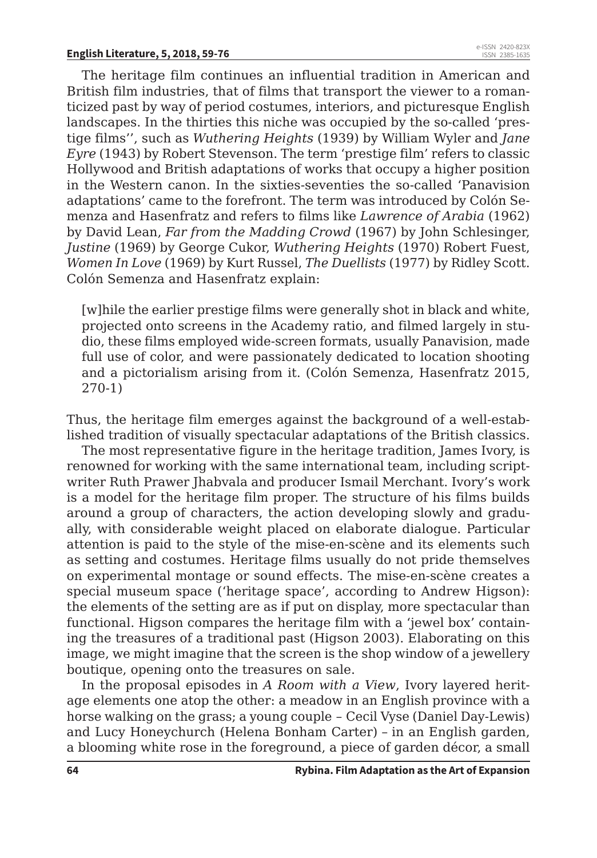The heritage film continues an influential tradition in American and British film industries, that of films that transport the viewer to a romanticized past by way of period costumes, interiors, and picturesque English landscapes. In the thirties this niche was occupied by the so-called 'prestige films'', such as *Wuthering Heights* (1939) by William Wyler and *Jane Eyre* (1943) by Robert Stevenson. The term 'prestige film' refers to classic Hollywood and British adaptations of works that occupy a higher position in the Western canon. In the sixties-seventies the so-called 'Panavision adaptations' came to the forefront. The term was introduced by Colón Semenza and Hasenfratz and refers to films like *Lawrence of Arabia* (1962) by David Lean, *Far from the Madding Crowd* (1967) by John Schlesinger, *Justine* (1969) by George Cukor, *Wuthering Heights* (1970) Robert Fuest, *Women In Love* (1969) by Kurt Russel, *The Duellists* (1977) by Ridley Scott. Colón Semenza and Hasenfratz explain:

[w]hile the earlier prestige films were generally shot in black and white, projected onto screens in the Academy ratio, and filmed largely in studio, these films employed wide-screen formats, usually Panavision, made full use of color, and were passionately dedicated to location shooting and a pictorialism arising from it. (Colón Semenza, Hasenfratz 2015, 270-1)

Thus, the heritage film emerges against the background of a well-established tradition of visually spectacular adaptations of the British classics.

The most representative figure in the heritage tradition, James Ivory, is renowned for working with the same international team, including scriptwriter Ruth Prawer Jhabvala and producer Ismail Merchant. Ivory's work is a model for the heritage film proper. The structure of his films builds around a group of characters, the action developing slowly and gradually, with considerable weight placed on elaborate dialogue. Particular attention is paid to the style of the mise-en-scène and its elements such as setting and costumes. Heritage films usually do not pride themselves on experimental montage or sound effects. The mise-en-scène creates a special museum space ('heritage space', according to Andrew Higson): the elements of the setting are as if put on display, more spectacular than functional. Higson compares the heritage film with a 'jewel box' containing the treasures of a traditional past (Higson 2003). Elaborating on this image, we might imagine that the screen is the shop window of a jewellery boutique, opening onto the treasures on sale.

In the proposal episodes in *A Room with a View*, Ivory layered heritage elements one atop the other: a meadow in an English province with a horse walking on the grass; a young couple – Cecil Vyse (Daniel Day-Lewis) and Lucy Honeychurch (Helena Bonham Carter) – in an English garden, a blooming white rose in the foreground, a piece of garden décor, a small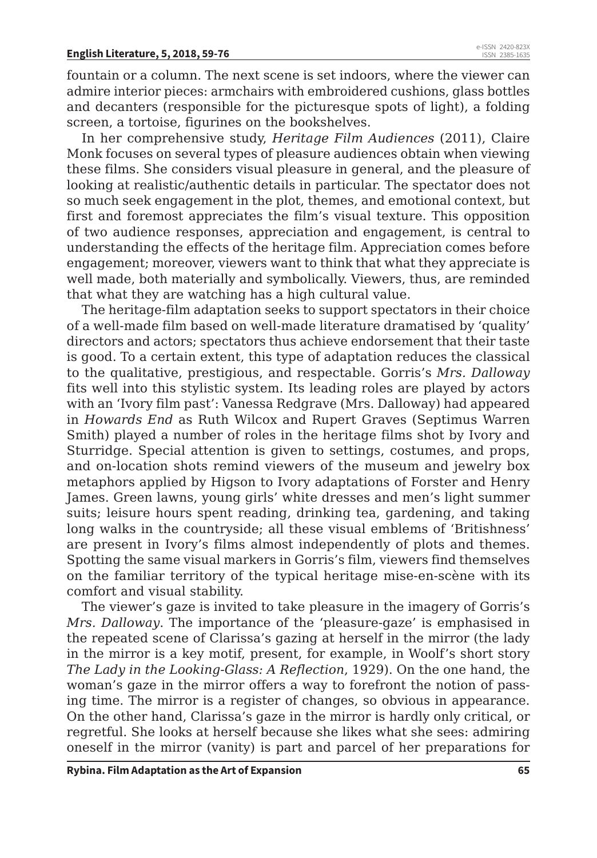fountain or a column. The next scene is set indoors, where the viewer can admire interior pieces: armchairs with embroidered cushions, glass bottles and decanters (responsible for the picturesque spots of light), a folding screen, a tortoise, figurines on the bookshelves.

In her comprehensive study, *Heritage Film Audiences* (2011), Claire Monk focuses on several types of pleasure audiences obtain when viewing these films. She considers visual pleasure in general, and the pleasure of looking at realistic/authentic details in particular. The spectator does not so much seek engagement in the plot, themes, and emotional context, but first and foremost appreciates the film's visual texture. This opposition of two audience responses, appreciation and engagement, is central to understanding the effects of the heritage film. Appreciation comes before engagement; moreover, viewers want to think that what they appreciate is well made, both materially and symbolically. Viewers, thus, are reminded that what they are watching has a high cultural value.

The heritage-film adaptation seeks to support spectators in their choice of a well-made film based on well-made literature dramatised by 'quality' directors and actors; spectators thus achieve endorsement that their taste is good. To a certain extent, this type of adaptation reduces the classical to the qualitative, prestigious, and respectable. Gorris's *Mrs. Dalloway* fits well into this stylistic system. Its leading roles are played by actors with an 'Ivory film past': Vanessa Redgrave (Mrs. Dalloway) had appeared in *Howards End* as Ruth Wilcox and Rupert Graves (Septimus Warren Smith) played a number of roles in the heritage films shot by Ivory and Sturridge. Special attention is given to settings, costumes, and props, and on-location shots remind viewers of the museum and jewelry box metaphors applied by Higson to Ivory adaptations of Forster and Henry James. Green lawns, young girls' white dresses and men's light summer suits; leisure hours spent reading, drinking tea, gardening, and taking long walks in the countryside; all these visual emblems of 'Britishness' are present in Ivory's films almost independently of plots and themes. Spotting the same visual markers in Gorris's film, viewers find themselves on the familiar territory of the typical heritage mise-en-scène with its comfort and visual stability.

The viewer's gaze is invited to take pleasure in the imagery of Gorris's *Mrs. Dalloway*. The importance of the 'pleasure-gaze' is emphasised in the repeated scene of Clarissa's gazing at herself in the mirror (the lady in the mirror is a key motif, present, for example, in Woolf's short story *The Lady in the Looking-Glass: A Reflection*, 1929). On the one hand, the woman's gaze in the mirror offers a way to forefront the notion of passing time. The mirror is a register of changes, so obvious in appearance. On the other hand, Clarissa's gaze in the mirror is hardly only critical, or regretful. She looks at herself because she likes what she sees: admiring oneself in the mirror (vanity) is part and parcel of her preparations for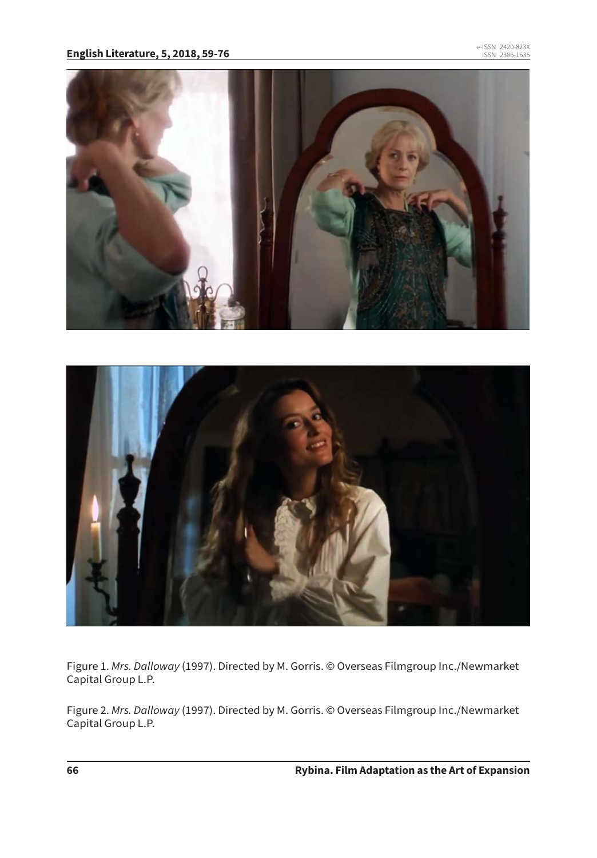



Figure 1. *Mrs. Dalloway* (1997). Directed by M. Gorris. © Overseas Filmgroup Inc./Newmarket Capital Group L.P.

Figure 2. *Mrs. Dalloway* (1997). Directed by M. Gorris. © Overseas Filmgroup Inc./Newmarket Capital Group L.P.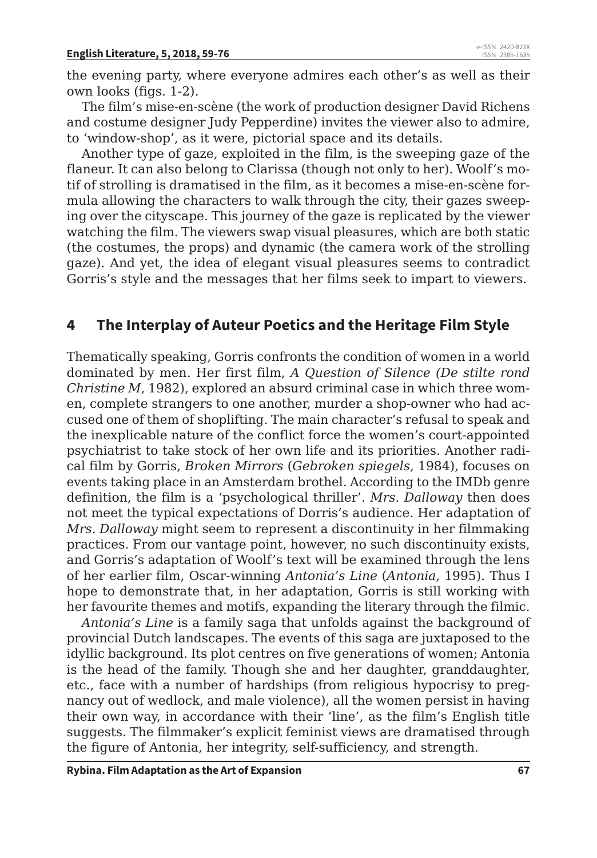the evening party, where everyone admires each other's as well as their own looks (figs. 1-2).

The film's mise-en-scène (the work of production designer David Richens and costume designer Judy Pepperdine) invites the viewer also to admire, to 'window-shop', as it were, pictorial space and its details.

Another type of gaze, exploited in the film, is the sweeping gaze of the flaneur. It can also belong to Clarissa (though not only to her). Woolf's motif of strolling is dramatised in the film, as it becomes a mise-en-scène formula allowing the characters to walk through the city, their gazes sweeping over the cityscape. This journey of the gaze is replicated by the viewer watching the film. The viewers swap visual pleasures, which are both static (the costumes, the props) and dynamic (the camera work of the strolling gaze). And yet, the idea of elegant visual pleasures seems to contradict Gorris's style and the messages that her films seek to impart to viewers.

### **4 The Interplay of Auteur Poetics and the Heritage Film Style**

Thematically speaking, Gorris confronts the condition of women in a world dominated by men. Her first film, *A Question of Silence (De stilte rond Christine M*, 1982), explored an absurd criminal case in which three women, complete strangers to one another, murder a shop-owner who had accused one of them of shoplifting. The main character's refusal to speak and the inexplicable nature of the conflict force the women's court-appointed psychiatrist to take stock of her own life and its priorities. Another radical film by Gorris, *Broken Mirrors* (*Gebroken spiegels*, 1984), focuses on events taking place in an Amsterdam brothel. According to the IMDb genre definition, the film is a 'psychological thriller'. *Mrs. Dalloway* then does not meet the typical expectations of Dorris's audience. Her adaptation of *Mrs. Dalloway* might seem to represent a discontinuity in her filmmaking practices. From our vantage point, however, no such discontinuity exists, and Gorris's adaptation of Woolf's text will be examined through the lens of her earlier film, Oscar-winning *Antonia's Line* (*Antonia*, 1995). Thus I hope to demonstrate that, in her adaptation, Gorris is still working with her favourite themes and motifs, expanding the literary through the filmic.

*Antonia's Line* is a family saga that unfolds against the background of provincial Dutch landscapes. The events of this saga are juxtaposed to the idyllic background. Its plot centres on five generations of women; Antonia is the head of the family. Though she and her daughter, granddaughter, etc., face with a number of hardships (from religious hypocrisy to pregnancy out of wedlock, and male violence), all the women persist in having their own way, in accordance with their 'line', as the film's English title suggests. The filmmaker's explicit feminist views are dramatised through the figure of Antonia, her integrity, self-sufficiency, and strength.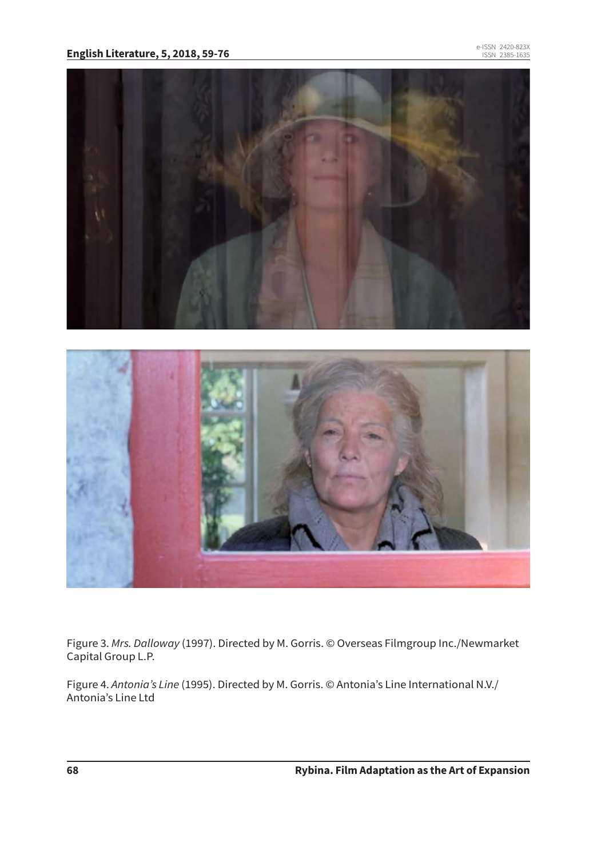

Figure 3. *Mrs. Dalloway* (1997). Directed by M. Gorris. © Overseas Filmgroup Inc./Newmarket Capital Group L.P.

Figure 4. *Antonia's Line* (1995). Directed by M. Gorris. © Antonia's Line International N.V./ Antonia's Line Ltd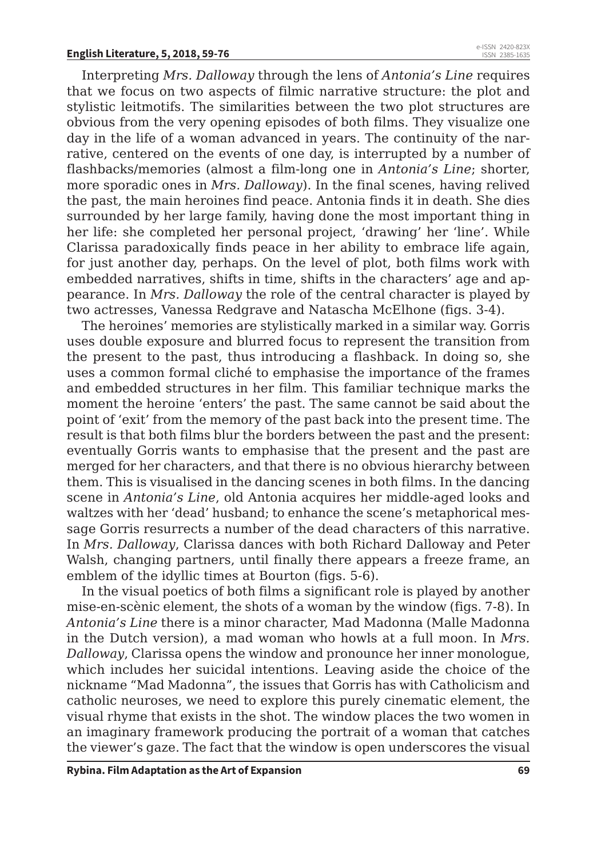Interpreting *Mrs. Dalloway* through the lens of *Antonia's Line* requires that we focus on two aspects of filmic narrative structure: the plot and stylistic leitmotifs. The similarities between the two plot structures are obvious from the very opening episodes of both films. They visualize one day in the life of a woman advanced in years. The continuity of the narrative, centered on the events of one day, is interrupted by a number of flashbacks/memories (almost a film-long one in *Antonia's Line*; shorter, more sporadic ones in *Mrs. Dalloway*). In the final scenes, having relived the past, the main heroines find peace. Antonia finds it in death. She dies surrounded by her large family, having done the most important thing in her life: she completed her personal project, 'drawing' her 'line'. While Clarissa paradoxically finds peace in her ability to embrace life again, for just another day, perhaps. On the level of plot, both films work with embedded narratives, shifts in time, shifts in the characters' age and appearance. In *Mrs. Dalloway* the role of the central character is played by two actresses, Vanessa Redgrave and Natascha McElhone (figs. 3-4).

The heroines' memories are stylistically marked in a similar way. Gorris uses double exposure and blurred focus to represent the transition from the present to the past, thus introducing a flashback. In doing so, she uses a common formal cliché to emphasise the importance of the frames and embedded structures in her film. This familiar technique marks the moment the heroine 'enters' the past. The same cannot be said about the point of 'exit' from the memory of the past back into the present time. The result is that both films blur the borders between the past and the present: eventually Gorris wants to emphasise that the present and the past are merged for her characters, and that there is no obvious hierarchy between them. This is visualised in the dancing scenes in both films. In the dancing scene in *Antonia's Line*, old Antonia acquires her middle-aged looks and waltzes with her 'dead' husband; to enhance the scene's metaphorical message Gorris resurrects a number of the dead characters of this narrative. In *Mrs. Dalloway*, Clarissa dances with both Richard Dalloway and Peter Walsh, changing partners, until finally there appears a freeze frame, an emblem of the idyllic times at Bourton (figs. 5-6).

In the visual poetics of both films a significant role is played by another mise-en-scènic element, the shots of a woman by the window (figs. 7-8). In *Antonia's Line* there is a minor character, Mad Madonna (Malle Madonna in the Dutch version), a mad woman who howls at a full moon. In *Mrs. Dalloway*, Clarissa opens the window and pronounce her inner monologue, which includes her suicidal intentions. Leaving aside the choice of the nickname "Mad Madonna", the issues that Gorris has with Catholicism and catholic neuroses, we need to explore this purely cinematic element, the visual rhyme that exists in the shot. The window places the two women in an imaginary framework producing the portrait of a woman that catches the viewer's gaze. The fact that the window is open underscores the visual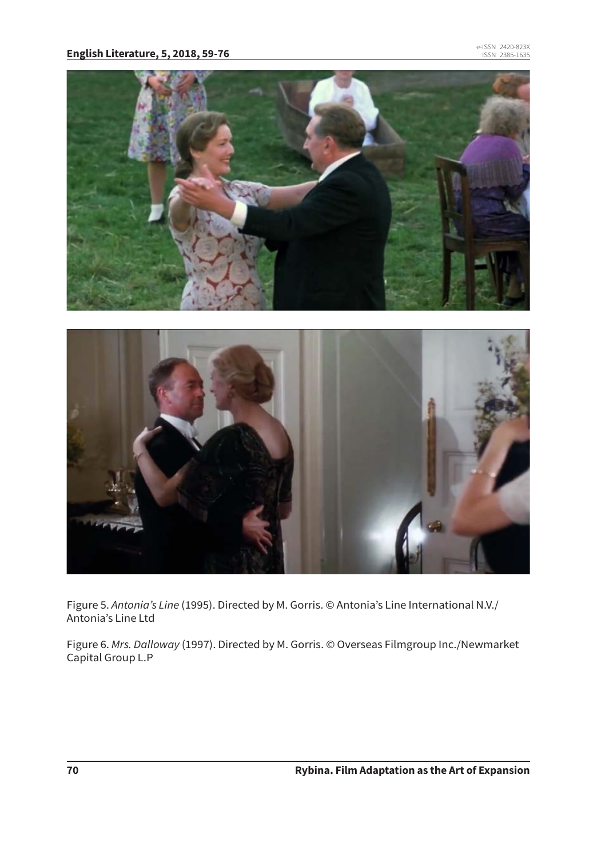

Figure 5. *Antonia's Line* (1995). Directed by M. Gorris. © Antonia's Line International N.V./ Antonia's Line Ltd

Figure 6. *Mrs. Dalloway* (1997). Directed by M. Gorris. © Overseas Filmgroup Inc./Newmarket Capital Group L.P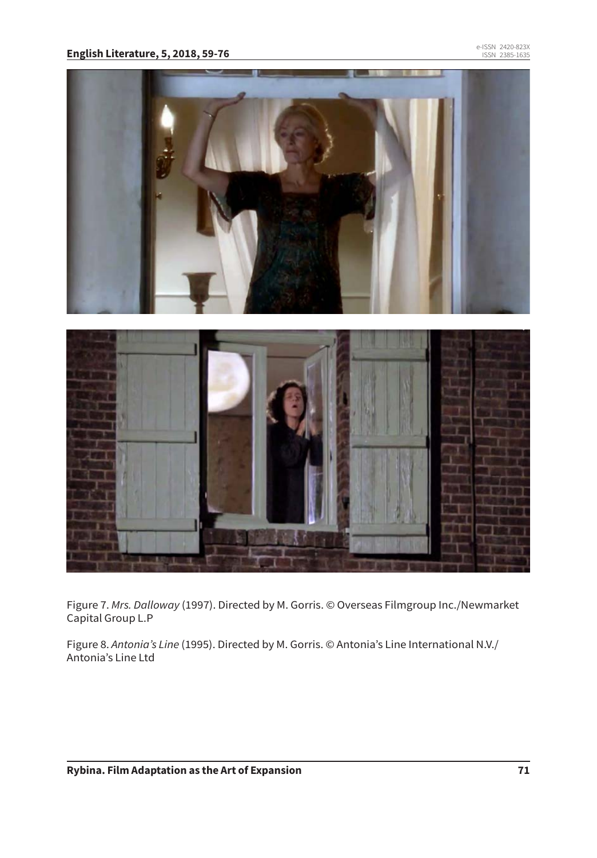

Figure 7. *Mrs. Dalloway* (1997). Directed by M. Gorris. © Overseas Filmgroup Inc./Newmarket Capital Group L.P

Figure 8. *Antonia's Line* (1995). Directed by M. Gorris. © Antonia's Line International N.V./ Antonia's Line Ltd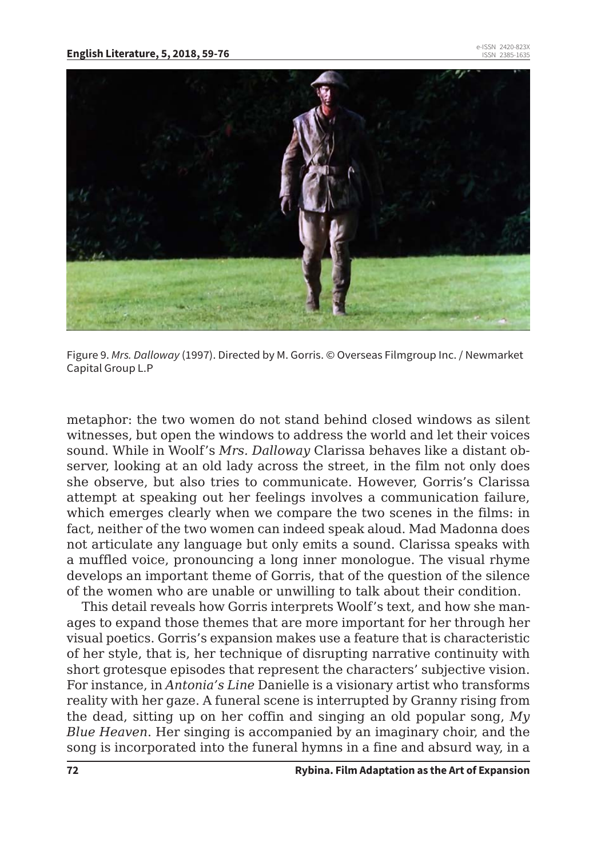

Figure 9. *Mrs. Dalloway* (1997). Directed by M. Gorris. © Overseas Filmgroup Inc. / Newmarket Capital Group L.P

metaphor: the two women do not stand behind closed windows as silent witnesses, but open the windows to address the world and let their voices sound. While in Woolf's *Mrs. Dalloway* Clarissa behaves like a distant observer, looking at an old lady across the street, in the film not only does she observe, but also tries to communicate. However, Gorris's Clarissa attempt at speaking out her feelings involves a communication failure, which emerges clearly when we compare the two scenes in the films: in fact, neither of the two women can indeed speak aloud. Mad Madonna does not articulate any language but only emits a sound. Clarissa speaks with a muffled voice, pronouncing a long inner monologue. The visual rhyme develops an important theme of Gorris, that of the question of the silence of the women who are unable or unwilling to talk about their condition.

This detail reveals how Gorris interprets Woolf's text, and how she manages to expand those themes that are more important for her through her visual poetics. Gorris's expansion makes use a feature that is characteristic of her style, that is, her technique of disrupting narrative continuity with short grotesque episodes that represent the characters' subjective vision. For instance, in *Antonia's Line* Danielle is a visionary artist who transforms reality with her gaze. A funeral scene is interrupted by Granny rising from the dead, sitting up on her coffin and singing an old popular song, *My Blue Heaven*. Her singing is accompanied by an imaginary choir, and the song is incorporated into the funeral hymns in a fine and absurd way, in a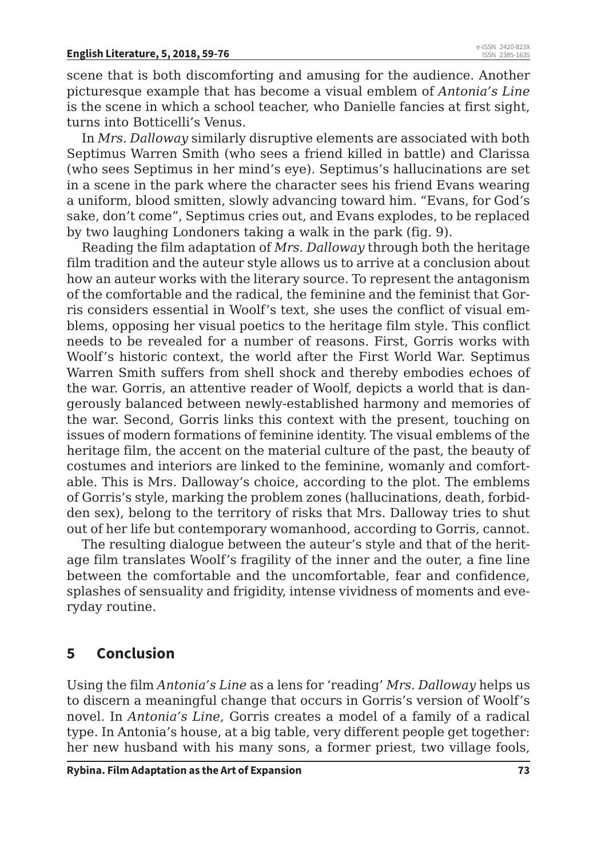scene that is both discomforting and amusing for the audience. Another picturesque example that has become a visual emblem of *Antonia's Line* is the scene in which a school teacher, who Danielle fancies at first sight, turns into Botticelli's Venus.

In *Mrs. Dalloway* similarly disruptive elements are associated with both Septimus Warren Smith (who sees a friend killed in battle) and Clarissa (who sees Septimus in her mind's eye). Septimus's hallucinations are set in a scene in the park where the character sees his friend Evans wearing a uniform, blood smitten, slowly advancing toward him. "Evans, for God's sake, don't come", Septimus cries out, and Evans explodes, to be replaced by two laughing Londoners taking a walk in the park (fig. 9).

Reading the film adaptation of *Mrs. Dalloway* through both the heritage film tradition and the auteur style allows us to arrive at a conclusion about how an auteur works with the literary source. To represent the antagonism of the comfortable and the radical, the feminine and the feminist that Gorris considers essential in Woolf's text, she uses the conflict of visual emblems, opposing her visual poetics to the heritage film style. This conflict needs to be revealed for a number of reasons. First, Gorris works with Woolf's historic context, the world after the First World War. Septimus Warren Smith suffers from shell shock and thereby embodies echoes of the war. Gorris, an attentive reader of Woolf, depicts a world that is dangerously balanced between newly-established harmony and memories of the war. Second, Gorris links this context with the present, touching on issues of modern formations of feminine identity. The visual emblems of the heritage film, the accent on the material culture of the past, the beauty of costumes and interiors are linked to the feminine, womanly and comfortable. This is Mrs. Dalloway's choice, according to the plot. The emblems of Gorris's style, marking the problem zones (hallucinations, death, forbidden seх), belong to the territory of risks that Mrs. Dalloway tries to shut out of her life but contemporary womanhood, according to Gorris, cannot.

The resulting dialogue between the auteur's style and that of the heritage film translates Woolf's fragility of the inner and the outer, a fine line between the comfortable and the uncomfortable, fear and confidence, splashes of sensuality and frigidity, intense vividness of moments and everyday routine.

## **5 Conclusion**

Using the film *Antonia's Line* as a lens for 'reading' *Mrs. Dalloway* helps us to discern a meaningful change that occurs in Gorris's version of Woolf's novel. In *Antonia's Line*, Gorris creates a model of a family of a radical type. In Antonia's house, at a big table, very different people get together: her new husband with his many sons, a former priest, two village fools,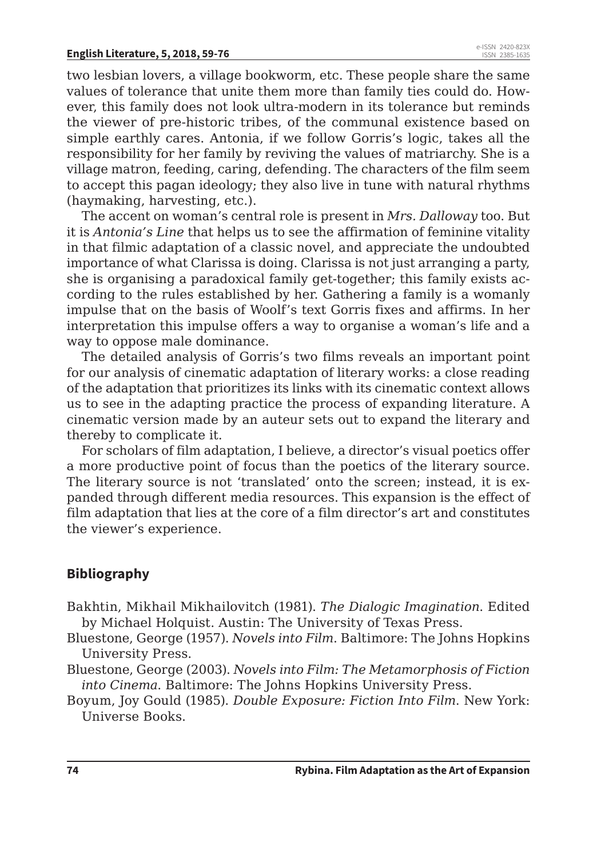two lesbian lovers, a village bookworm, etc. These people share the same values of tolerance that unite them more than family ties could do. However, this family does not look ultra-modern in its tolerance but reminds the viewer of pre-historic tribes, of the communal existence based on simple earthly cares. Antonia, if we follow Gorris's logic, takes all the responsibility for her family by reviving the values of matriarchy. She is a village matron, feeding, caring, defending. The characters of the film seem to accept this pagan ideology; they also live in tune with natural rhythms (haymaking, harvesting, etc.).

The accent on woman's central role is present in *Mrs. Dalloway* too. But it is *Antonia's Line* that helps us to see the affirmation of feminine vitality in that filmic adaptation of a classic novel, and appreciate the undoubted importance of what Clarissa is doing. Clarissa is not just arranging a party, she is organising a paradoxical family get-together; this family exists according to the rules established by her. Gathering a family is a womanly impulse that on the basis of Woolf's text Gorris fixes and affirms. In her interpretation this impulse offers a way to organise a woman's life and a way to oppose male dominance.

The detailed analysis of Gorris's two films reveals an important point for our analysis of cinematic adaptation of literary works: a close reading of the adaptation that prioritizes its links with its cinematic context allows us to see in the adapting practice the process of expanding literature. A cinematic version made by an auteur sets out to expand the literary and thereby to complicate it.

For scholars of film adaptation, I believe, a director's visual poetics offer a more productive point of focus than the poetics of the literary source. The literary source is not 'translated' onto the screen; instead, it is expanded through different media resources. This expansion is the effect of film adaptation that lies at the core of a film director's art and constitutes the viewer's experience.

#### **Bibliography**

- Bakhtin, Mikhail Mikhailovitch (1981). *The Dialogic Imagination*. Edited by Michael Holquist. Austin: The University of Texas Press.
- Bluestone, George (1957). *Novels into Film*. Baltimore: The Johns Hopkins University Press.
- Bluestone, George (2003). *Novels into Film: The Metamorphosis of Fiction into Cinema*. Baltimore: The Johns Hopkins University Press.
- Boyum, Joy Gould (1985). *Double Exposure: Fiction Into Film*. New York: Universe Books.